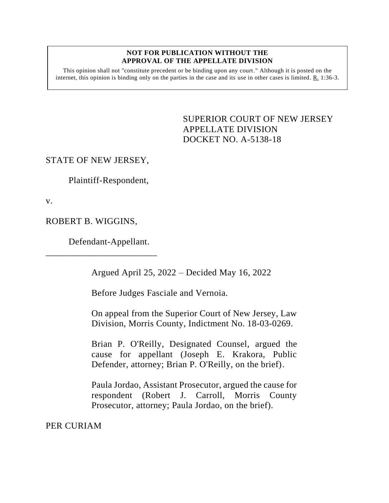#### **NOT FOR PUBLICATION WITHOUT THE APPROVAL OF THE APPELLATE DIVISION**

This opinion shall not "constitute precedent or be binding upon any court." Although it is posted on the internet, this opinion is binding only on the parties in the case and its use in other cases is limited.  $R_1$  1:36-3.

> <span id="page-0-0"></span>SUPERIOR COURT OF NEW JERSEY APPELLATE DIVISION DOCKET NO. A-5138-18

## STATE OF NEW JERSEY,

Plaintiff-Respondent,

v.

ROBERT B. WIGGINS,

Defendant-Appellant.

\_\_\_\_\_\_\_\_\_\_\_\_\_\_\_\_\_\_\_\_\_\_\_\_

Argued April 25, 2022 – Decided May 16, 2022

Before Judges Fasciale and Vernoia.

On appeal from the Superior Court of New Jersey, Law Division, Morris County, Indictment No. 18-03-0269.

Brian P. O'Reilly, Designated Counsel, argued the cause for appellant (Joseph E. Krakora, Public Defender, attorney; Brian P. O'Reilly, on the brief).

Paula Jordao, Assistant Prosecutor, argued the cause for respondent (Robert J. Carroll, Morris County Prosecutor, attorney; Paula Jordao, on the brief).

PER CURIAM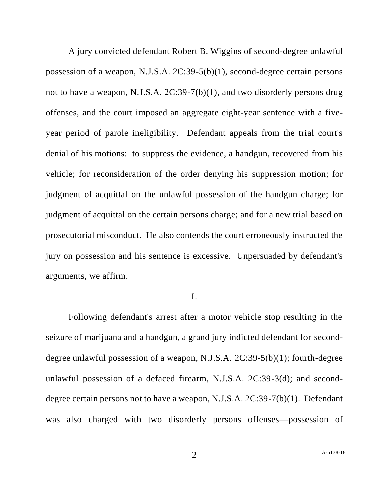A jury convicted defendant Robert B. Wiggins of second-degree unlawful possession of a weapon, N.J.S.A. 2C:39-5(b)(1), second-degree certain persons not to have a weapon, N.J.S.A. 2C:39-7(b)(1), and two disorderly persons drug offenses, and the court imposed an aggregate eight-year sentence with a fiveyear period of parole ineligibility. Defendant appeals from the trial court's denial of his motions: to suppress the evidence, a handgun, recovered from his vehicle; for reconsideration of the order denying his suppression motion; for judgment of acquittal on the unlawful possession of the handgun charge; for judgment of acquittal on the certain persons charge; and for a new trial based on prosecutorial misconduct. He also contends the court erroneously instructed the jury on possession and his sentence is excessive. Unpersuaded by defendant's arguments, we affirm.

## I.

Following defendant's arrest after a motor vehicle stop resulting in the seizure of marijuana and a handgun, a grand jury indicted defendant for seconddegree unlawful possession of a weapon, N.J.S.A. 2C:39-5(b)(1); fourth-degree unlawful possession of a defaced firearm, N.J.S.A. 2C:39-3(d); and seconddegree certain persons not to have a weapon, N.J.S.A. 2C:39-7(b)(1). Defendant was also charged with two disorderly persons offenses—possession of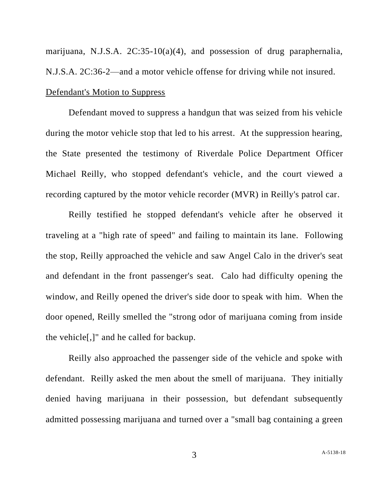marijuana, N.J.S.A. 2C:35-10(a)(4), and possession of drug paraphernalia, N.J.S.A. 2C:36-2—and a motor vehicle offense for driving while not insured. Defendant's Motion to Suppress

Defendant moved to suppress a handgun that was seized from his vehicle during the motor vehicle stop that led to his arrest. At the suppression hearing, the State presented the testimony of Riverdale Police Department Officer Michael Reilly, who stopped defendant's vehicle, and the court viewed a recording captured by the motor vehicle recorder (MVR) in Reilly's patrol car.

Reilly testified he stopped defendant's vehicle after he observed it traveling at a "high rate of speed" and failing to maintain its lane. Following the stop, Reilly approached the vehicle and saw Angel Calo in the driver's seat and defendant in the front passenger's seat. Calo had difficulty opening the window, and Reilly opened the driver's side door to speak with him. When the door opened, Reilly smelled the "strong odor of marijuana coming from inside the vehicle[,]" and he called for backup.

Reilly also approached the passenger side of the vehicle and spoke with defendant. Reilly asked the men about the smell of marijuana. They initially denied having marijuana in their possession, but defendant subsequently admitted possessing marijuana and turned over a "small bag containing a green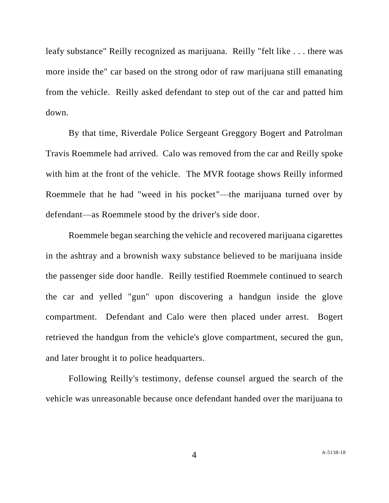leafy substance" Reilly recognized as marijuana. Reilly "felt like . . . there was more inside the" car based on the strong odor of raw marijuana still emanating from the vehicle. Reilly asked defendant to step out of the car and patted him down.

By that time, Riverdale Police Sergeant Greggory Bogert and Patrolman Travis Roemmele had arrived. Calo was removed from the car and Reilly spoke with him at the front of the vehicle. The MVR footage shows Reilly informed Roemmele that he had "weed in his pocket"—the marijuana turned over by defendant—as Roemmele stood by the driver's side door.

Roemmele began searching the vehicle and recovered marijuana cigarettes in the ashtray and a brownish waxy substance believed to be marijuana inside the passenger side door handle. Reilly testified Roemmele continued to search the car and yelled "gun" upon discovering a handgun inside the glove compartment. Defendant and Calo were then placed under arrest. Bogert retrieved the handgun from the vehicle's glove compartment, secured the gun, and later brought it to police headquarters.

Following Reilly's testimony, defense counsel argued the search of the vehicle was unreasonable because once defendant handed over the marijuana to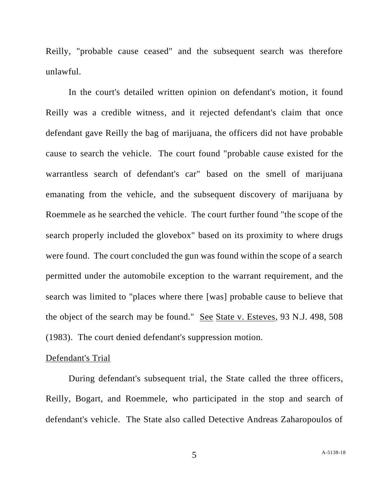Reilly, "probable cause ceased" and the subsequent search was therefore unlawful.

In the court's detailed written opinion on defendant's motion, it found Reilly was a credible witness, and it rejected defendant's claim that once defendant gave Reilly the bag of marijuana, the officers did not have probable cause to search the vehicle. The court found "probable cause existed for the warrantless search of defendant's car" based on the smell of marijuana emanating from the vehicle, and the subsequent discovery of marijuana by Roemmele as he searched the vehicle. The court further found "the scope of the search properly included the glovebox" based on its proximity to where drugs were found. The court concluded the gun was found within the scope of a search permitted under the automobile exception to the warrant requirement, and the search was limited to "places where there [was] probable cause to believe that the object of the search may be found." See State v. Esteves, 93 N.J. 498, 508 (1983). The court denied defendant's suppression motion.

#### Defendant's Trial

During defendant's subsequent trial, the State called the three officers, Reilly, Bogart, and Roemmele, who participated in the stop and search of defendant's vehicle. The State also called Detective Andreas Zaharopoulos of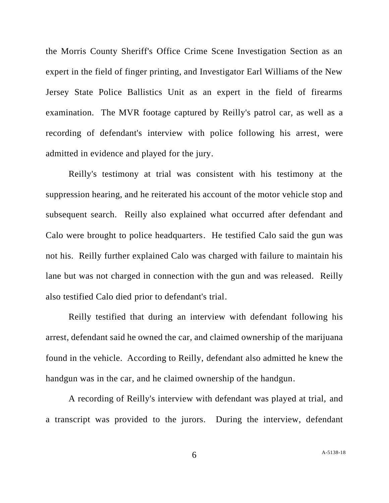the Morris County Sheriff's Office Crime Scene Investigation Section as an expert in the field of finger printing, and Investigator Earl Williams of the New Jersey State Police Ballistics Unit as an expert in the field of firearms examination. The MVR footage captured by Reilly's patrol car, as well as a recording of defendant's interview with police following his arrest, were admitted in evidence and played for the jury.

Reilly's testimony at trial was consistent with his testimony at the suppression hearing, and he reiterated his account of the motor vehicle stop and subsequent search. Reilly also explained what occurred after defendant and Calo were brought to police headquarters. He testified Calo said the gun was not his. Reilly further explained Calo was charged with failure to maintain his lane but was not charged in connection with the gun and was released. Reilly also testified Calo died prior to defendant's trial.

Reilly testified that during an interview with defendant following his arrest, defendant said he owned the car, and claimed ownership of the marijuana found in the vehicle. According to Reilly, defendant also admitted he knew the handgun was in the car, and he claimed ownership of the handgun.

A recording of Reilly's interview with defendant was played at trial, and a transcript was provided to the jurors. During the interview, defendant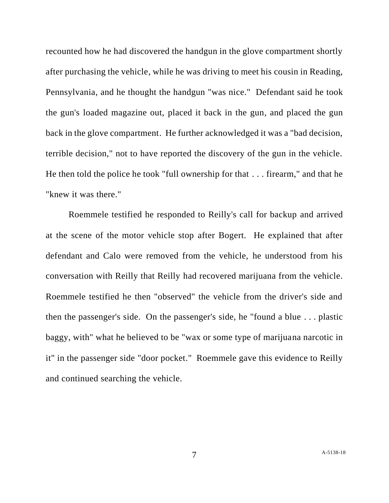recounted how he had discovered the handgun in the glove compartment shortly after purchasing the vehicle, while he was driving to meet his cousin in Reading, Pennsylvania, and he thought the handgun "was nice." Defendant said he took the gun's loaded magazine out, placed it back in the gun, and placed the gun back in the glove compartment. He further acknowledged it was a "bad decision, terrible decision," not to have reported the discovery of the gun in the vehicle. He then told the police he took "full ownership for that . . . firearm," and that he "knew it was there."

Roemmele testified he responded to Reilly's call for backup and arrived at the scene of the motor vehicle stop after Bogert. He explained that after defendant and Calo were removed from the vehicle, he understood from his conversation with Reilly that Reilly had recovered marijuana from the vehicle. Roemmele testified he then "observed" the vehicle from the driver's side and then the passenger's side. On the passenger's side, he "found a blue . . . plastic baggy, with" what he believed to be "wax or some type of marijuana narcotic in it" in the passenger side "door pocket." Roemmele gave this evidence to Reilly and continued searching the vehicle.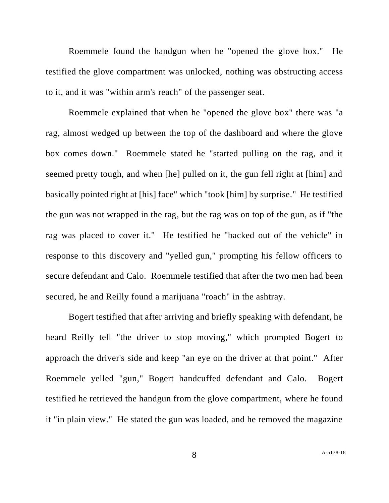Roemmele found the handgun when he "opened the glove box." He testified the glove compartment was unlocked, nothing was obstructing access to it, and it was "within arm's reach" of the passenger seat.

Roemmele explained that when he "opened the glove box" there was "a rag, almost wedged up between the top of the dashboard and where the glove box comes down." Roemmele stated he "started pulling on the rag, and it seemed pretty tough, and when [he] pulled on it, the gun fell right at [him] and basically pointed right at [his] face" which "took [him] by surprise." He testified the gun was not wrapped in the rag, but the rag was on top of the gun, as if "the rag was placed to cover it." He testified he "backed out of the vehicle" in response to this discovery and "yelled gun," prompting his fellow officers to secure defendant and Calo. Roemmele testified that after the two men had been secured, he and Reilly found a marijuana "roach" in the ashtray.

Bogert testified that after arriving and briefly speaking with defendant, he heard Reilly tell "the driver to stop moving," which prompted Bogert to approach the driver's side and keep "an eye on the driver at that point." After Roemmele yelled "gun," Bogert handcuffed defendant and Calo. Bogert testified he retrieved the handgun from the glove compartment, where he found it "in plain view." He stated the gun was loaded, and he removed the magazine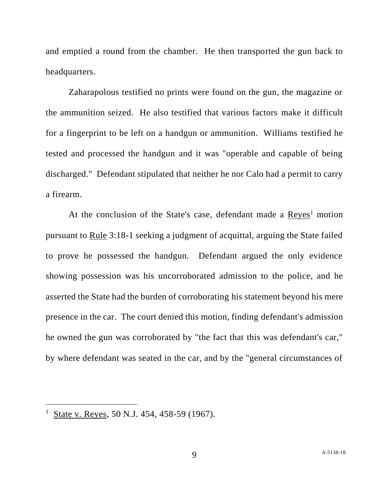and emptied a round from the chamber. He then transported the gun back to headquarters.

Zaharapolous testified no prints were found on the gun, the magazine or the ammunition seized. He also testified that various factors make it difficult for a fingerprint to be left on a handgun or ammunition. Williams testified he tested and processed the handgun and it was "operable and capable of being discharged." Defendant stipulated that neither he nor Calo had a permit to carry a firearm.

At the conclusion of the State's case, defendant made a  $Reyes<sup>1</sup>$  motion pursuant to Rule 3:18-1 seeking a judgment of acquittal, arguing the State failed to prove he possessed the handgun. Defendant argued the only evidence showing possession was his uncorroborated admission to the police, and he asserted the State had the burden of corroborating his statement beyond his mere presence in the car. The court denied this motion, finding defendant's admission he owned the gun was corroborated by "the fact that this was defendant's car," by where defendant was seated in the car, and by the "general circumstances of

<sup>&</sup>lt;sup>1</sup> State v. Reyes, 50 N.J. 454, 458-59 (1967).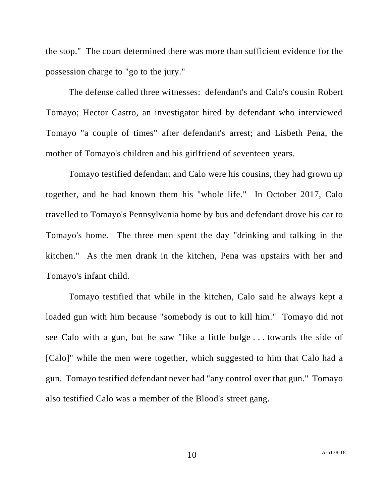the stop." The court determined there was more than sufficient evidence for the possession charge to "go to the jury."

The defense called three witnesses: defendant's and Calo's cousin Robert Tomayo; Hector Castro, an investigator hired by defendant who interviewed Tomayo "a couple of times" after defendant's arrest; and Lisbeth Pena, the mother of Tomayo's children and his girlfriend of seventeen years.

Tomayo testified defendant and Calo were his cousins, they had grown up together, and he had known them his "whole life." In October 2017, Calo travelled to Tomayo's Pennsylvania home by bus and defendant drove his car to Tomayo's home. The three men spent the day "drinking and talking in the kitchen." As the men drank in the kitchen, Pena was upstairs with her and Tomayo's infant child.

Tomayo testified that while in the kitchen, Calo said he always kept a loaded gun with him because "somebody is out to kill him." Tomayo did not see Calo with a gun, but he saw "like a little bulge . . . towards the side of [Calo]" while the men were together, which suggested to him that Calo had a gun. Tomayo testified defendant never had "any control over that gun." Tomayo also testified Calo was a member of the Blood's street gang.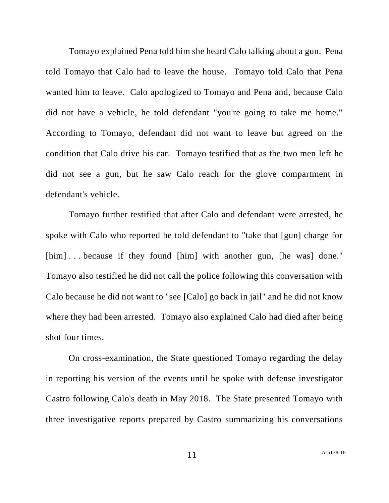Tomayo explained Pena told him she heard Calo talking about a gun. Pena told Tomayo that Calo had to leave the house. Tomayo told Calo that Pena wanted him to leave. Calo apologized to Tomayo and Pena and, because Calo did not have a vehicle, he told defendant "you're going to take me home." According to Tomayo, defendant did not want to leave but agreed on the condition that Calo drive his car. Tomayo testified that as the two men left he did not see a gun, but he saw Calo reach for the glove compartment in defendant's vehicle.

Tomayo further testified that after Calo and defendant were arrested, he spoke with Calo who reported he told defendant to "take that [gun] charge for [him]...because if they found [him] with another gun, [he was] done." Tomayo also testified he did not call the police following this conversation with Calo because he did not want to "see [Calo] go back in jail" and he did not know where they had been arrested. Tomayo also explained Calo had died after being shot four times.

On cross-examination, the State questioned Tomayo regarding the delay in reporting his version of the events until he spoke with defense investigator Castro following Calo's death in May 2018. The State presented Tomayo with three investigative reports prepared by Castro summarizing his conversations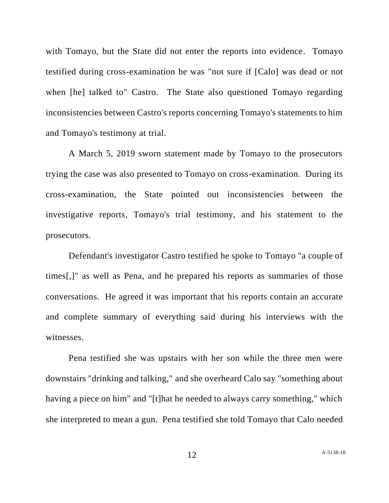with Tomayo, but the State did not enter the reports into evidence. Tomayo testified during cross-examination he was "not sure if [Calo] was dead or not when [he] talked to" Castro. The State also questioned Tomayo regarding inconsistencies between Castro's reports concerning Tomayo's statements to him and Tomayo's testimony at trial.

A March 5, 2019 sworn statement made by Tomayo to the prosecutors trying the case was also presented to Tomayo on cross-examination. During its cross-examination, the State pointed out inconsistencies between the investigative reports, Tomayo's trial testimony, and his statement to the prosecutors.

Defendant's investigator Castro testified he spoke to Tomayo "a couple of times[,]" as well as Pena, and he prepared his reports as summaries of those conversations. He agreed it was important that his reports contain an accurate and complete summary of everything said during his interviews with the witnesses.

Pena testified she was upstairs with her son while the three men were downstairs "drinking and talking," and she overheard Calo say "something about having a piece on him" and "[t]hat he needed to always carry something," which she interpreted to mean a gun. Pena testified she told Tomayo that Calo needed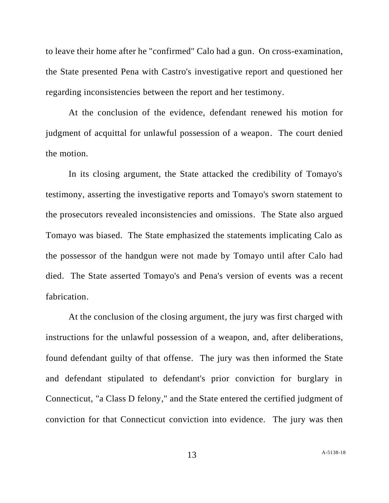to leave their home after he "confirmed" Calo had a gun. On cross-examination, the State presented Pena with Castro's investigative report and questioned her regarding inconsistencies between the report and her testimony.

At the conclusion of the evidence, defendant renewed his motion for judgment of acquittal for unlawful possession of a weapon. The court denied the motion.

In its closing argument, the State attacked the credibility of Tomayo's testimony, asserting the investigative reports and Tomayo's sworn statement to the prosecutors revealed inconsistencies and omissions. The State also argued Tomayo was biased. The State emphasized the statements implicating Calo as the possessor of the handgun were not made by Tomayo until after Calo had died. The State asserted Tomayo's and Pena's version of events was a recent fabrication.

At the conclusion of the closing argument, the jury was first charged with instructions for the unlawful possession of a weapon, and, after deliberations, found defendant guilty of that offense. The jury was then informed the State and defendant stipulated to defendant's prior conviction for burglary in Connecticut, "a Class D felony," and the State entered the certified judgment of conviction for that Connecticut conviction into evidence. The jury was then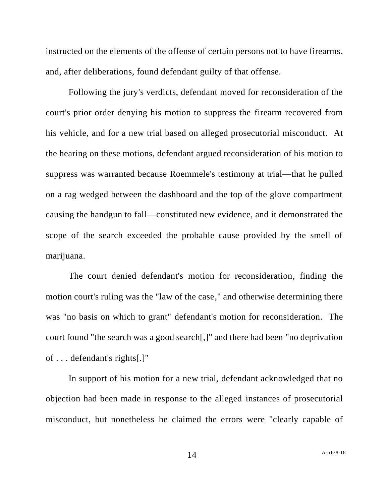instructed on the elements of the offense of certain persons not to have firearms, and, after deliberations, found defendant guilty of that offense.

Following the jury's verdicts, defendant moved for reconsideration of the court's prior order denying his motion to suppress the firearm recovered from his vehicle, and for a new trial based on alleged prosecutorial misconduct. At the hearing on these motions, defendant argued reconsideration of his motion to suppress was warranted because Roemmele's testimony at trial—that he pulled on a rag wedged between the dashboard and the top of the glove compartment causing the handgun to fall—constituted new evidence, and it demonstrated the scope of the search exceeded the probable cause provided by the smell of marijuana.

The court denied defendant's motion for reconsideration, finding the motion court's ruling was the "law of the case," and otherwise determining there was "no basis on which to grant" defendant's motion for reconsideration. The court found "the search was a good search[,]" and there had been "no deprivation of . . . defendant's rights[.]"

In support of his motion for a new trial, defendant acknowledged that no objection had been made in response to the alleged instances of prosecutorial misconduct, but nonetheless he claimed the errors were "clearly capable of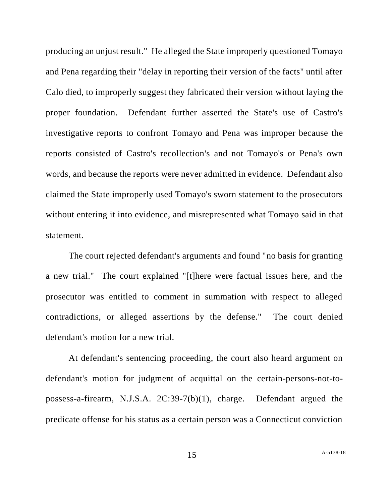producing an unjust result." He alleged the State improperly questioned Tomayo and Pena regarding their "delay in reporting their version of the facts" until after Calo died, to improperly suggest they fabricated their version without laying the proper foundation. Defendant further asserted the State's use of Castro's investigative reports to confront Tomayo and Pena was improper because the reports consisted of Castro's recollection's and not Tomayo's or Pena's own words, and because the reports were never admitted in evidence. Defendant also claimed the State improperly used Tomayo's sworn statement to the prosecutors without entering it into evidence, and misrepresented what Tomayo said in that statement.

The court rejected defendant's arguments and found "no basis for granting a new trial." The court explained "[t]here were factual issues here, and the prosecutor was entitled to comment in summation with respect to alleged contradictions, or alleged assertions by the defense." The court denied defendant's motion for a new trial.

At defendant's sentencing proceeding, the court also heard argument on defendant's motion for judgment of acquittal on the certain-persons-not-topossess-a-firearm, N.J.S.A. 2C:39-7(b)(1), charge. Defendant argued the predicate offense for his status as a certain person was a Connecticut conviction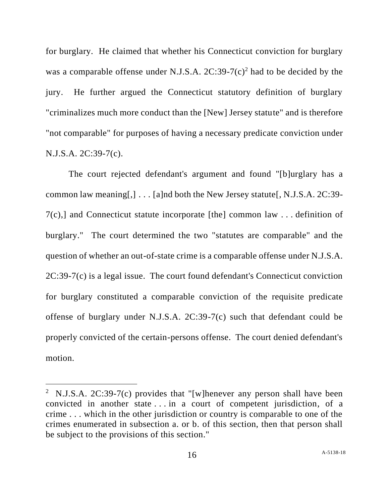for burglary. He claimed that whether his Connecticut conviction for burglary was a comparable offense under N.J.S.A.  $2C:39-7(c)^2$  had to be decided by the jury. He further argued the Connecticut statutory definition of burglary "criminalizes much more conduct than the [New] Jersey statute" and is therefore "not comparable" for purposes of having a necessary predicate conviction under N.J.S.A. 2C:39-7(c).

The court rejected defendant's argument and found "[b]urglary has a common law meaning[,]  $\ldots$  [a]nd both the New Jersey statute[, N.J.S.A. 2C:39-7(c),] and Connecticut statute incorporate [the] common law . . . definition of burglary." The court determined the two "statutes are comparable" and the question of whether an out-of-state crime is a comparable offense under N.J.S.A. 2C:39-7(c) is a legal issue. The court found defendant's Connecticut conviction for burglary constituted a comparable conviction of the requisite predicate offense of burglary under N.J.S.A. 2C:39-7(c) such that defendant could be properly convicted of the certain-persons offense. The court denied defendant's motion.

<sup>&</sup>lt;sup>2</sup> N.J.S.A. 2C:39-7(c) provides that "[w]henever any person shall have been convicted in another state . . . in a court of competent jurisdiction, of a crime . . . which in the other jurisdiction or country is comparable to one of the crimes enumerated in subsection a. or b. of this section, then that person shall be subject to the provisions of this section."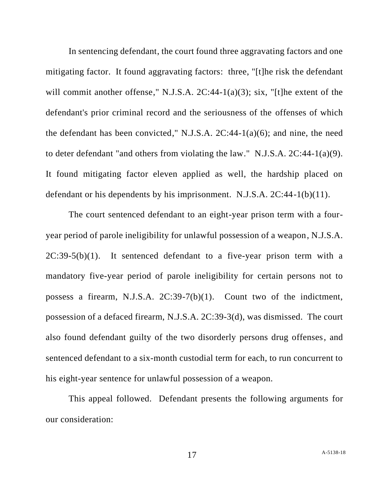In sentencing defendant, the court found three aggravating factors and one mitigating factor. It found aggravating factors: three, "[t]he risk the defendant will commit another offense," N.J.S.A. 2C:44-1(a)(3); six, "[t]he extent of the defendant's prior criminal record and the seriousness of the offenses of which the defendant has been convicted," N.J.S.A. 2C:44-1(a)(6); and nine, the need to deter defendant "and others from violating the law." N.J.S.A. 2C:44-1(a)(9). It found mitigating factor eleven applied as well, the hardship placed on defendant or his dependents by his imprisonment. N.J.S.A. 2C:44-1(b)(11).

The court sentenced defendant to an eight-year prison term with a fouryear period of parole ineligibility for unlawful possession of a weapon, N.J.S.A.  $2C:39-5(b)(1)$ . It sentenced defendant to a five-year prison term with a mandatory five-year period of parole ineligibility for certain persons not to possess a firearm, N.J.S.A. 2C:39-7(b)(1). Count two of the indictment, possession of a defaced firearm, N.J.S.A. 2C:39-3(d), was dismissed. The court also found defendant guilty of the two disorderly persons drug offenses, and sentenced defendant to a six-month custodial term for each, to run concurrent to his eight-year sentence for unlawful possession of a weapon.

This appeal followed. Defendant presents the following arguments for our consideration: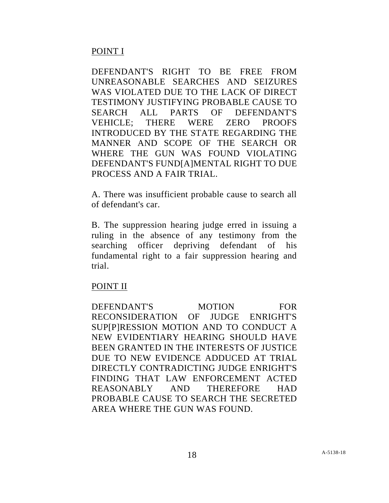# POINT I

DEFENDANT'S RIGHT TO BE FREE FROM UNREASONABLE SEARCHES AND SEIZURES WAS VIOLATED DUE TO THE LACK OF DIRECT TESTIMONY JUSTIFYING PROBABLE CAUSE TO SEARCH ALL PARTS OF DEFENDANT'S VEHICLE; THERE WERE ZERO PROOFS INTRODUCED BY THE STATE REGARDING THE MANNER AND SCOPE OF THE SEARCH OR WHERE THE GUN WAS FOUND VIOLATING DEFENDANT'S FUND[A]MENTAL RIGHT TO DUE PROCESS AND A FAIR TRIAL.

A. There was insufficient probable cause to search all of defendant's car.

B. The suppression hearing judge erred in issuing a ruling in the absence of any testimony from the searching officer depriving defendant of his fundamental right to a fair suppression hearing and trial.

## POINT II

DEFENDANT'S MOTION FOR RECONSIDERATION OF JUDGE ENRIGHT'S SUP[P]RESSION MOTION AND TO CONDUCT A NEW EVIDENTIARY HEARING SHOULD HAVE BEEN GRANTED IN THE INTERESTS OF JUSTICE DUE TO NEW EVIDENCE ADDUCED AT TRIAL DIRECTLY CONTRADICTING JUDGE ENRIGHT'S FINDING THAT LAW ENFORCEMENT ACTED REASONABLY AND THEREFORE HAD PROBABLE CAUSE TO SEARCH THE SECRETED AREA WHERE THE GUN WAS FOUND.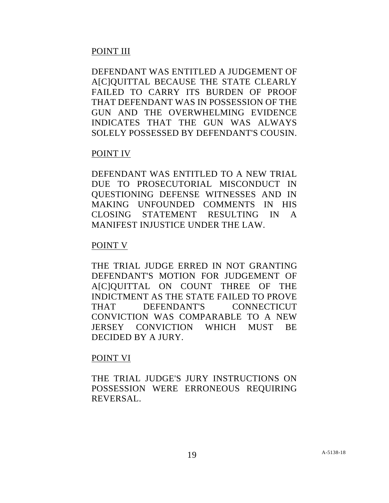# POINT III

DEFENDANT WAS ENTITLED A JUDGEMENT OF AICIOUITTAL BECAUSE THE STATE CLEARLY FAILED TO CARRY ITS BURDEN OF PROOF THAT DEFENDANT WAS IN POSSESSION OF THE GUN AND THE OVERWHELMING EVIDENCE INDICATES THAT THE GUN WAS ALWAYS SOLELY POSSESSED BY DEFENDANT'S COUSIN.

# POINT IV

DEFENDANT WAS ENTITLED TO A NEW TRIAL DUE TO PROSECUTORIAL MISCONDUCT IN QUESTIONING DEFENSE WITNESSES AND IN MAKING UNFOUNDED COMMENTS IN HIS CLOSING STATEMENT RESULTING IN A MANIFEST INJUSTICE UNDER THE LAW.

# POINT V

THE TRIAL JUDGE ERRED IN NOT GRANTING DEFENDANT'S MOTION FOR JUDGEMENT OF A[C]QUITTAL ON COUNT THREE OF THE INDICTMENT AS THE STATE FAILED TO PROVE THAT DEFENDANT'S CONNECTICUT CONVICTION WAS COMPARABLE TO A NEW JERSEY CONVICTION WHICH MUST BE DECIDED BY A JURY.

# POINT VI

THE TRIAL JUDGE'S JURY INSTRUCTIONS ON POSSESSION WERE ERRONEOUS REQUIRING REVERSAL.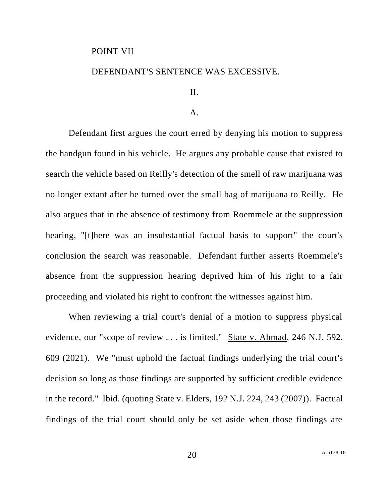#### POINT VII

### DEFENDANT'S SENTENCE WAS EXCESSIVE.

### II.

#### $\mathbf{A}$ .

Defendant first argues the court erred by denying his motion to suppress the handgun found in his vehicle. He argues any probable cause that existed to search the vehicle based on Reilly's detection of the smell of raw marijuana was no longer extant after he turned over the small bag of marijuana to Reilly. He also argues that in the absence of testimony from Roemmele at the suppression hearing, "[t]here was an insubstantial factual basis to support" the court's conclusion the search was reasonable. Defendant further asserts Roemmele's absence from the suppression hearing deprived him of his right to a fair proceeding and violated his right to confront the witnesses against him.

When reviewing a trial court's denial of a motion to suppress physical evidence, our "scope of review . . . is limited." State v. Ahmad, 246 N.J. 592, 609 (2021). We "must uphold the factual findings underlying the trial court's decision so long as those findings are supported by sufficient credible evidence in the record." Ibid. (quoting State v. Elders, 192 N.J. 224, 243 (2007)). Factual findings of the trial court should only be set aside when those findings are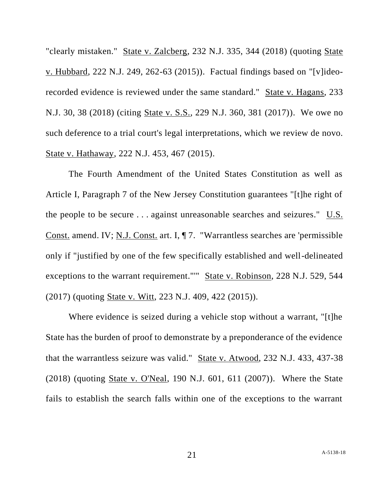"clearly mistaken." State v. Zalcberg, 232 N.J. 335, 344 (2018) (quoting State v. Hubbard, 222 N.J. 249, 262-63 (2015)). Factual findings based on "[v]ideorecorded evidence is reviewed under the same standard." State v. Hagans, 233 N.J. 30, 38 (2018) (citing State v. S.S., 229 N.J. 360, 381 (2017)). We owe no such deference to a trial court's legal interpretations, which we review de novo. State v. Hathaway, 222 N.J. 453, 467 (2015).

The Fourth Amendment of the United States Constitution as well as Article I, Paragraph 7 of the New Jersey Constitution guarantees "[t]he right of the people to be secure . . . against unreasonable searches and seizures." U.S. Const. amend. IV; N.J. Const. art. I, ¶ 7. "Warrantless searches are 'permissible only if "justified by one of the few specifically established and well-delineated exceptions to the warrant requirement."'" State v. Robinson, 228 N.J. 529, 544 (2017) (quoting State v. Witt, 223 N.J. 409, 422 (2015)).

Where evidence is seized during a vehicle stop without a warrant, "[t]he State has the burden of proof to demonstrate by a preponderance of the evidence that the warrantless seizure was valid." State v. Atwood, 232 N.J. 433, 437-38 (2018) (quoting State v. O'Neal, 190 N.J. 601, 611 (2007)). Where the State fails to establish the search falls within one of the exceptions to the warrant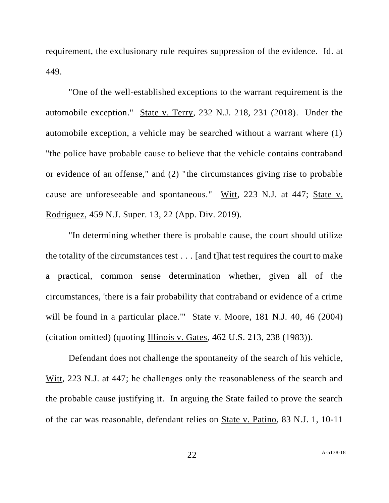requirement, the exclusionary rule requires suppression of the evidence. Id. at 449.

"One of the well-established exceptions to the warrant requirement is the automobile exception." State v. Terry, 232 N.J. 218, 231 (2018). Under the automobile exception, a vehicle may be searched without a warrant where (1) "the police have probable cause to believe that the vehicle contains contraband or evidence of an offense," and (2) "the circumstances giving rise to probable cause are unforeseeable and spontaneous." Witt, 223 N.J. at 447; State v. Rodriguez, 459 N.J. Super. 13, 22 (App. Div. 2019).

"In determining whether there is probable cause, the court should utilize the totality of the circumstances test . . . [and t]hat test requires the court to make a practical, common sense determination whether, given all of the circumstances, 'there is a fair probability that contraband or evidence of a crime will be found in a particular place." State v. Moore, 181 N.J. 40, 46 (2004) (citation omitted) (quoting Illinois v. Gates, 462 U.S. 213, 238 (1983)).

Defendant does not challenge the spontaneity of the search of his vehicle, Witt, 223 N.J. at 447; he challenges only the reasonableness of the search and the probable cause justifying it. In arguing the State failed to prove the search of the car was reasonable, defendant relies on State v. Patino, 83 N.J. 1, 10-11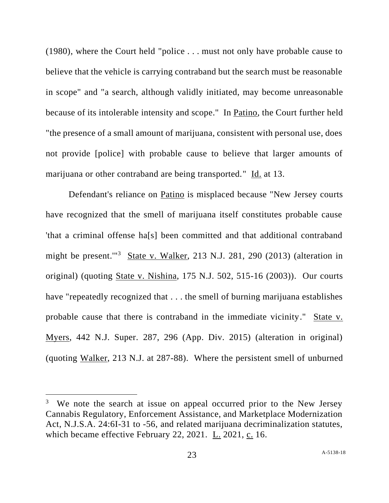(1980), where the Court held "police . . . must not only have probable cause to believe that the vehicle is carrying contraband but the search must be reasonable in scope" and "a search, although validly initiated, may become unreasonable because of its intolerable intensity and scope." In Patino, the Court further held "the presence of a small amount of marijuana, consistent with personal use, does not provide [police] with probable cause to believe that larger amounts of marijuana or other contraband are being transported." Id. at 13.

Defendant's reliance on Patino is misplaced because "New Jersey courts have recognized that the smell of marijuana itself constitutes probable cause 'that a criminal offense ha[s] been committed and that additional contraband might be present."<sup>3</sup> State v. Walker, 213 N.J. 281, 290 (2013) (alteration in original) (quoting State v. Nishina, 175 N.J. 502, 515-16 (2003)). Our courts have "repeatedly recognized that ... the smell of burning marijuana establishes probable cause that there is contraband in the immediate vicinity." State v. Myers, 442 N.J. Super. 287, 296 (App. Div. 2015) (alteration in original) (quoting Walker, 213 N.J. at 287-88). Where the persistent smell of unburned

<sup>&</sup>lt;sup>3</sup> We note the search at issue on appeal occurred prior to the New Jersey Cannabis Regulatory, Enforcement Assistance, and Marketplace Modernization Act, N.J.S.A. 24:6I-31 to -56, and related marijuana decriminalization statutes, which became effective February 22, 2021. L. 2021, c. 16.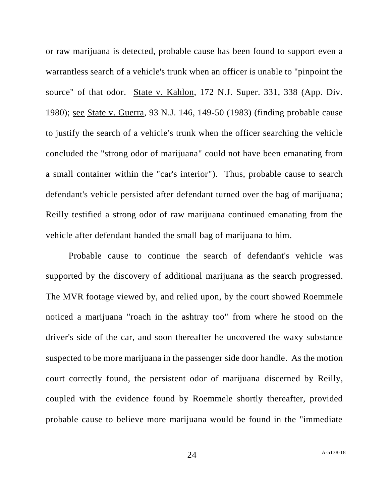or raw marijuana is detected, probable cause has been found to support even a warrantless search of a vehicle's trunk when an officer is unable to "pinpoint the source" of that odor. State v. Kahlon, 172 N.J. Super. 331, 338 (App. Div. 1980); see State v. Guerra, 93 N.J. 146, 149-50 (1983) (finding probable cause to justify the search of a vehicle's trunk when the officer searching the vehicle concluded the "strong odor of marijuana" could not have been emanating from a small container within the "car's interior"). Thus, probable cause to search defendant's vehicle persisted after defendant turned over the bag of marijuana; Reilly testified a strong odor of raw marijuana continued emanating from the vehicle after defendant handed the small bag of marijuana to him.

Probable cause to continue the search of defendant's vehicle was supported by the discovery of additional marijuana as the search progressed. The MVR footage viewed by, and relied upon, by the court showed Roemmele noticed a marijuana "roach in the ashtray too" from where he stood on the driver's side of the car, and soon thereafter he uncovered the waxy substance suspected to be more marijuana in the passenger side door handle. As the motion court correctly found, the persistent odor of marijuana discerned by Reilly, coupled with the evidence found by Roemmele shortly thereafter, provided probable cause to believe more marijuana would be found in the "immediate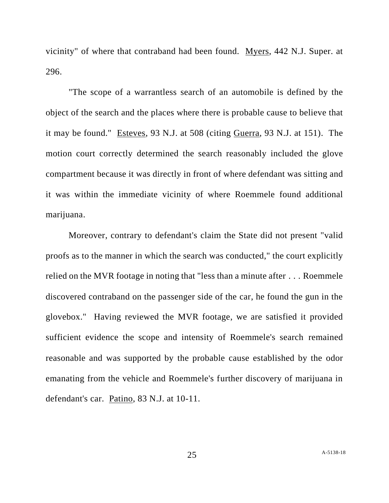vicinity" of where that contraband had been found. Myers, 442 N.J. Super. at 296.

"The scope of a warrantless search of an automobile is defined by the object of the search and the places where there is probable cause to believe that it may be found." Esteves, 93 N.J. at 508 (citing Guerra, 93 N.J. at 151). The motion court correctly determined the search reasonably included the glove compartment because it was directly in front of where defendant was sitting and it was within the immediate vicinity of where Roemmele found additional marijuana.

Moreover, contrary to defendant's claim the State did not present "valid proofs as to the manner in which the search was conducted," the court explicitly relied on the MVR footage in noting that "less than a minute after . . . Roemmele discovered contraband on the passenger side of the car, he found the gun in the glovebox." Having reviewed the MVR footage, we are satisfied it provided sufficient evidence the scope and intensity of Roemmele's search remained reasonable and was supported by the probable cause established by the odor emanating from the vehicle and Roemmele's further discovery of marijuana in defendant's car. Patino, 83 N.J. at 10-11.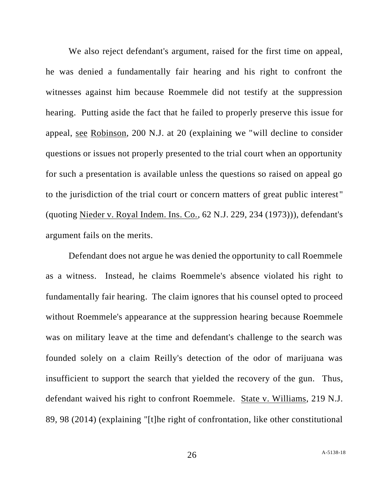We also reject defendant's argument, raised for the first time on appeal, he was denied a fundamentally fair hearing and his right to confront the witnesses against him because Roemmele did not testify at the suppression hearing. Putting aside the fact that he failed to properly preserve this issue for appeal, see Robinson, 200 N.J. at 20 (explaining we "will decline to consider questions or issues not properly presented to the trial court when an opportunity for such a presentation is available unless the questions so raised on appeal go to the jurisdiction of the trial court or concern matters of great public interest " (quoting Nieder v. Royal Indem. Ins. Co., 62 N.J. 229, 234 (1973))), defendant's argument fails on the merits.

Defendant does not argue he was denied the opportunity to call Roemmele as a witness. Instead, he claims Roemmele's absence violated his right to fundamentally fair hearing. The claim ignores that his counsel opted to proceed without Roemmele's appearance at the suppression hearing because Roemmele was on military leave at the time and defendant's challenge to the search was founded solely on a claim Reilly's detection of the odor of marijuana was insufficient to support the search that yielded the recovery of the gun. Thus, defendant waived his right to confront Roemmele. State v. Williams, 219 N.J. 89, 98 (2014) (explaining "[t]he right of confrontation, like other constitutional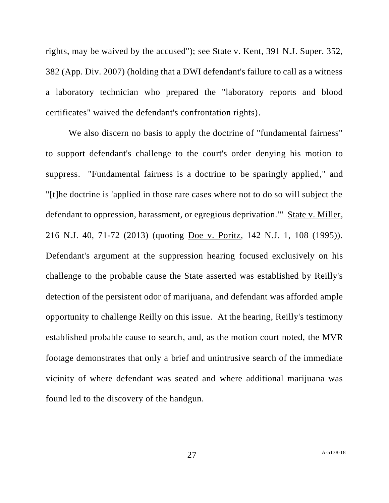rights, may be waived by the accused"); see State v. Kent, 391 N.J. Super. 352, 382 (App. Div. 2007) (holding that a DWI defendant's failure to call as a witness a laboratory technician who prepared the "laboratory reports and blood certificates" waived the defendant's confrontation rights).

We also discern no basis to apply the doctrine of "fundamental fairness" to support defendant's challenge to the court's order denying his motion to suppress. "Fundamental fairness is a doctrine to be sparingly applied," and "[t]he doctrine is 'applied in those rare cases where not to do so will subject the defendant to oppression, harassment, or egregious deprivation.'" State v. Miller, 216 N.J. 40, 71-72 (2013) (quoting Doe v. Poritz, 142 N.J. 1, 108 (1995)). Defendant's argument at the suppression hearing focused exclusively on his challenge to the probable cause the State asserted was established by Reilly's detection of the persistent odor of marijuana, and defendant was afforded ample opportunity to challenge Reilly on this issue. At the hearing, Reilly's testimony established probable cause to search, and, as the motion court noted, the MVR footage demonstrates that only a brief and unintrusive search of the immediate vicinity of where defendant was seated and where additional marijuana was found led to the discovery of the handgun.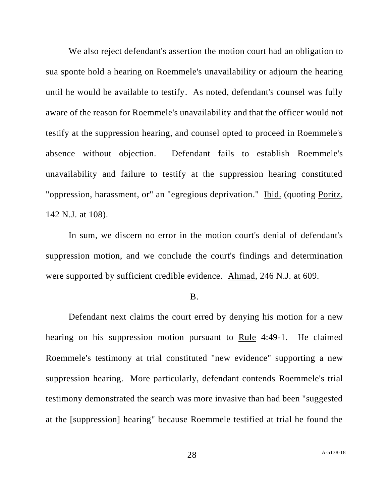We also reject defendant's assertion the motion court had an obligation to sua sponte hold a hearing on Roemmele's unavailability or adjourn the hearing until he would be available to testify. As noted, defendant's counsel was fully aware of the reason for Roemmele's unavailability and that the officer would not testify at the suppression hearing, and counsel opted to proceed in Roemmele's absence without objection. Defendant fails to establish Roemmele's unavailability and failure to testify at the suppression hearing constituted "oppression, harassment, or" an "egregious deprivation." Ibid. (quoting Poritz, 142 N.J. at 108).

In sum, we discern no error in the motion court's denial of defendant's suppression motion, and we conclude the court's findings and determination were supported by sufficient credible evidence. Ahmad, 246 N.J. at 609.

#### B.

Defendant next claims the court erred by denying his motion for a new hearing on his suppression motion pursuant to Rule 4:49-1. He claimed Roemmele's testimony at trial constituted "new evidence" supporting a new suppression hearing. More particularly, defendant contends Roemmele's trial testimony demonstrated the search was more invasive than had been "suggested at the [suppression] hearing" because Roemmele testified at trial he found the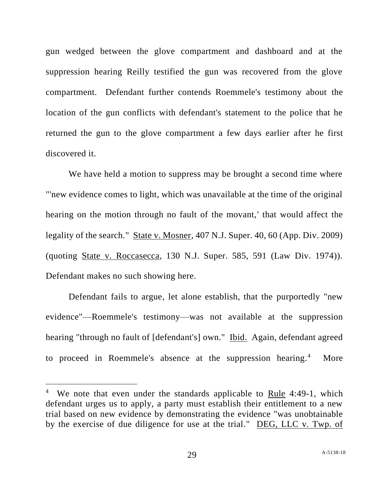gun wedged between the glove compartment and dashboard and at the suppression hearing Reilly testified the gun was recovered from the glove compartment. Defendant further contends Roemmele's testimony about the location of the gun conflicts with defendant's statement to the police that he returned the gun to the glove compartment a few days earlier after he first discovered it.

We have held a motion to suppress may be brought a second time where "'new evidence comes to light, which was unavailable at the time of the original hearing on the motion through no fault of the movant,' that would affect the legality of the search." State v. Mosner, 407 N.J. Super. 40, 60 (App. Div. 2009) (quoting State v. Roccasecca, 130 N.J. Super. 585, 591 (Law Div. 1974)). Defendant makes no such showing here.

Defendant fails to argue, let alone establish, that the purportedly "new evidence"—Roemmele's testimony—was not available at the suppression hearing "through no fault of [defendant's] own." Ibid. Again, defendant agreed to proceed in Roemmele's absence at the suppression hearing.<sup>4</sup> More

<sup>&</sup>lt;sup>4</sup> We note that even under the standards applicable to Rule 4:49-1, which defendant urges us to apply, a party must establish their entitlement to a new trial based on new evidence by demonstrating the evidence "was unobtainable by the exercise of due diligence for use at the trial." DEG, LLC v. Twp. of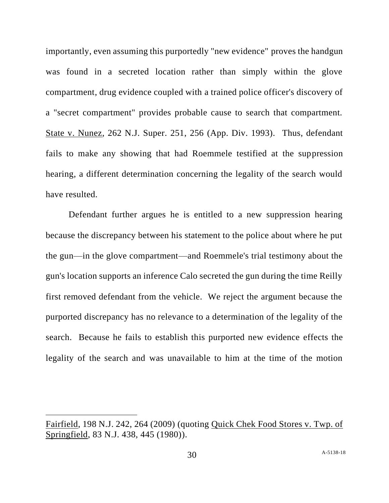importantly, even assuming this purportedly "new evidence" proves the handgun was found in a secreted location rather than simply within the glove compartment, drug evidence coupled with a trained police officer's discovery of a "secret compartment" provides probable cause to search that compartment. State v. Nunez, 262 N.J. Super. 251, 256 (App. Div. 1993). Thus, defendant fails to make any showing that had Roemmele testified at the suppression hearing, a different determination concerning the legality of the search would have resulted.

Defendant further argues he is entitled to a new suppression hearing because the discrepancy between his statement to the police about where he put the gun—in the glove compartment—and Roemmele's trial testimony about the gun's location supports an inference Calo secreted the gun during the time Reilly first removed defendant from the vehicle. We reject the argument because the purported discrepancy has no relevance to a determination of the legality of the search. Because he fails to establish this purported new evidence effects the legality of the search and was unavailable to him at the time of the motion

Fairfield, 198 N.J. 242, 264 (2009) (quoting Quick Chek Food Stores v. Twp. of Springfield, 83 N.J. 438, 445 (1980)).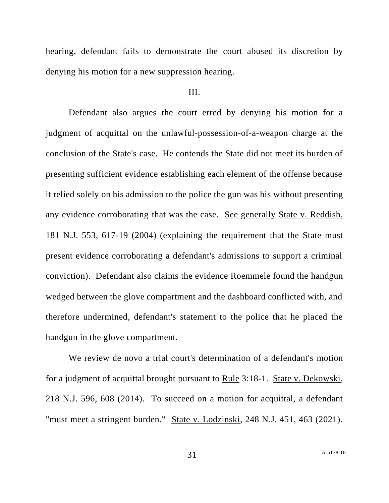hearing, defendant fails to demonstrate the court abused its discretion by denying his motion for a new suppression hearing.

### III.

Defendant also argues the court erred by denying his motion for a judgment of acquittal on the unlawful-possession-of-a-weapon charge at the conclusion of the State's case. He contends the State did not meet its burden of presenting sufficient evidence establishing each element of the offense because it relied solely on his admission to the police the gun was his without presenting any evidence corroborating that was the case. See generally State v. Reddish, 181 N.J. 553, 617-19 (2004) (explaining the requirement that the State must present evidence corroborating a defendant's admissions to support a criminal conviction). Defendant also claims the evidence Roemmele found the handgun wedged between the glove compartment and the dashboard conflicted with, and therefore undermined, defendant's statement to the police that he placed the handgun in the glove compartment.

We review de novo a trial court's determination of a defendant's motion for a judgment of acquittal brought pursuant to Rule 3:18-1. State v. Dekowski, 218 N.J. 596, 608 (2014). To succeed on a motion for acquittal, a defendant "must meet a stringent burden." State v. Lodzinski, 248 N.J. 451, 463 (2021).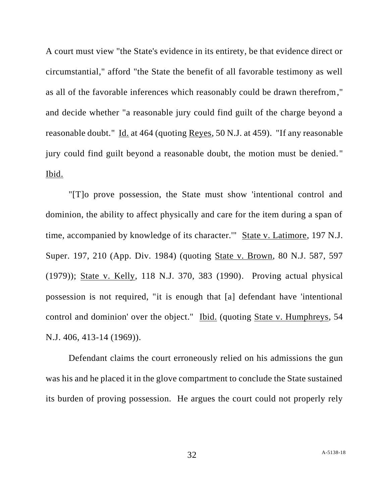A court must view "the State's evidence in its entirety, be that evidence direct or circumstantial," afford "the State the benefit of all favorable testimony as well as all of the favorable inferences which reasonably could be drawn therefrom," and decide whether "a reasonable jury could find guilt of the charge beyond a reasonable doubt." Id. at 464 (quoting Reyes, 50 N.J. at 459). "If any reasonable jury could find guilt beyond a reasonable doubt, the motion must be denied. " Ibid.

"[T]o prove possession, the State must show 'intentional control and dominion, the ability to affect physically and care for the item during a span of time, accompanied by knowledge of its character.'" State v. Latimore, 197 N.J. Super. 197, 210 (App. Div. 1984) (quoting State v. Brown, 80 N.J. 587, 597 (1979)); State v. Kelly, 118 N.J. 370, 383 (1990). Proving actual physical possession is not required, "it is enough that [a] defendant have 'intentional control and dominion' over the object." Ibid. (quoting State v. Humphreys, 54 N.J. 406, 413-14 (1969)).

Defendant claims the court erroneously relied on his admissions the gun was his and he placed it in the glove compartment to conclude the State sustained its burden of proving possession. He argues the court could not properly rely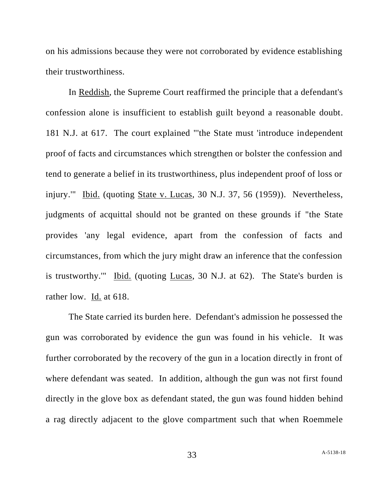on his admissions because they were not corroborated by evidence establishing their trustworthiness.

In Reddish, the Supreme Court reaffirmed the principle that a defendant's confession alone is insufficient to establish guilt beyond a reasonable doubt. 181 N.J. at 617. The court explained "'the State must 'introduce independent proof of facts and circumstances which strengthen or bolster the confession and tend to generate a belief in its trustworthiness, plus independent proof of loss or injury.'" Ibid. (quoting State v. Lucas, 30 N.J. 37, 56 (1959)). Nevertheless, judgments of acquittal should not be granted on these grounds if "the State provides 'any legal evidence, apart from the confession of facts and circumstances, from which the jury might draw an inference that the confession is trustworthy.'" Ibid. (quoting Lucas, 30 N.J. at 62). The State's burden is rather low. Id. at 618.

The State carried its burden here. Defendant's admission he possessed the gun was corroborated by evidence the gun was found in his vehicle. It was further corroborated by the recovery of the gun in a location directly in front of where defendant was seated. In addition, although the gun was not first found directly in the glove box as defendant stated, the gun was found hidden behind a rag directly adjacent to the glove compartment such that when Roemmele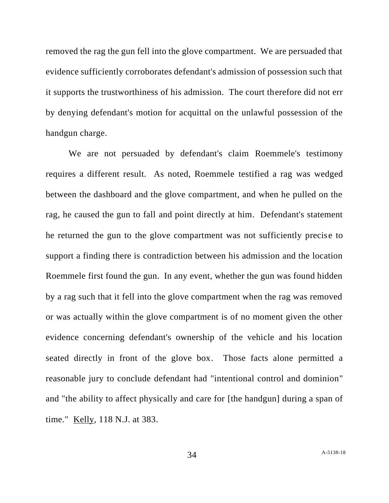removed the rag the gun fell into the glove compartment. We are persuaded that evidence sufficiently corroborates defendant's admission of possession such that it supports the trustworthiness of his admission. The court therefore did not err by denying defendant's motion for acquittal on the unlawful possession of the handgun charge.

We are not persuaded by defendant's claim Roemmele's testimony requires a different result. As noted, Roemmele testified a rag was wedged between the dashboard and the glove compartment, and when he pulled on the rag, he caused the gun to fall and point directly at him. Defendant's statement he returned the gun to the glove compartment was not sufficiently precise to support a finding there is contradiction between his admission and the location Roemmele first found the gun. In any event, whether the gun was found hidden by a rag such that it fell into the glove compartment when the rag was removed or was actually within the glove compartment is of no moment given the other evidence concerning defendant's ownership of the vehicle and his location seated directly in front of the glove box. Those facts alone permitted a reasonable jury to conclude defendant had "intentional control and dominion" and "the ability to affect physically and care for [the handgun] during a span of time." Kelly, 118 N.J. at 383.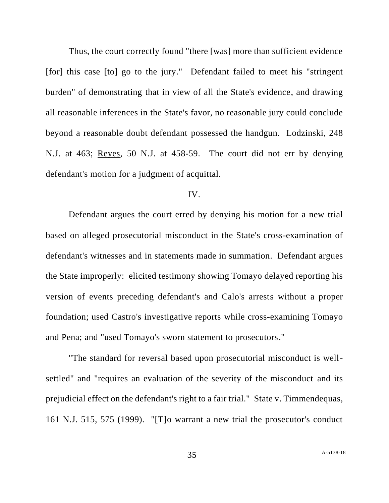Thus, the court correctly found "there [was] more than sufficient evidence [for] this case [to] go to the jury." Defendant failed to meet his "stringent burden" of demonstrating that in view of all the State's evidence, and drawing all reasonable inferences in the State's favor, no reasonable jury could conclude beyond a reasonable doubt defendant possessed the handgun. Lodzinski, 248 N.J. at 463; Reyes, 50 N.J. at 458-59. The court did not err by denying defendant's motion for a judgment of acquittal.

### IV.

Defendant argues the court erred by denying his motion for a new trial based on alleged prosecutorial misconduct in the State's cross-examination of defendant's witnesses and in statements made in summation. Defendant argues the State improperly: elicited testimony showing Tomayo delayed reporting his version of events preceding defendant's and Calo's arrests without a proper foundation; used Castro's investigative reports while cross-examining Tomayo and Pena; and "used Tomayo's sworn statement to prosecutors."

"The standard for reversal based upon prosecutorial misconduct is wellsettled" and "requires an evaluation of the severity of the misconduct and its prejudicial effect on the defendant's right to a fair trial." State v. Timmendequas, 161 N.J. 515, 575 (1999). "[T]o warrant a new trial the prosecutor's conduct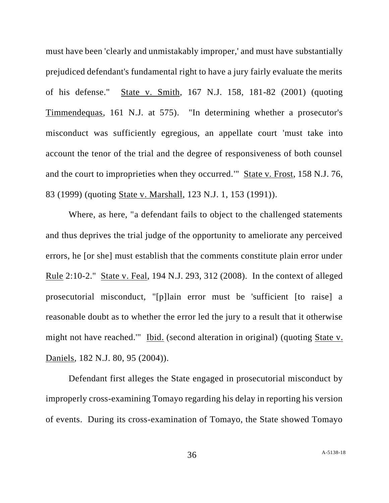must have been 'clearly and unmistakably improper,' and must have substantially prejudiced defendant's fundamental right to have a jury fairly evaluate the merits of his defense." State v. Smith, 167 N.J. 158, 181-82 (2001) (quoting Timmendequas, 161 N.J. at 575). "In determining whether a prosecutor's misconduct was sufficiently egregious, an appellate court 'must take into account the tenor of the trial and the degree of responsiveness of both counsel and the court to improprieties when they occurred." State v. Frost, 158 N.J. 76, 83 (1999) (quoting State v. Marshall, 123 N.J. 1, 153 (1991)).

Where, as here, "a defendant fails to object to the challenged statements and thus deprives the trial judge of the opportunity to ameliorate any perceived errors, he [or she] must establish that the comments constitute plain error under Rule 2:10-2." State v. Feal, 194 N.J. 293, 312 (2008). In the context of alleged prosecutorial misconduct, "[p]lain error must be 'sufficient [to raise] a reasonable doubt as to whether the error led the jury to a result that it otherwise might not have reached.'" Ibid. (second alteration in original) (quoting State v. Daniels, 182 N.J. 80, 95 (2004)).

Defendant first alleges the State engaged in prosecutorial misconduct by improperly cross-examining Tomayo regarding his delay in reporting his version of events. During its cross-examination of Tomayo, the State showed Tomayo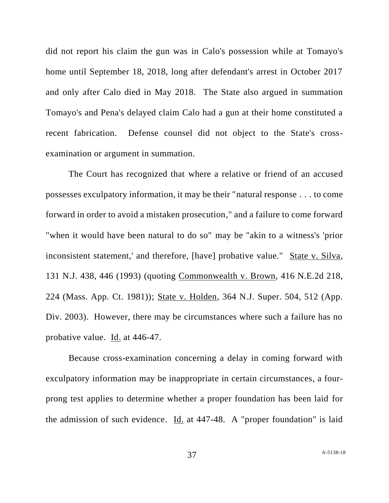did not report his claim the gun was in Calo's possession while at Tomayo's home until September 18, 2018, long after defendant's arrest in October 2017 and only after Calo died in May 2018. The State also argued in summation Tomayo's and Pena's delayed claim Calo had a gun at their home constituted a recent fabrication. Defense counsel did not object to the State's crossexamination or argument in summation.

The Court has recognized that where a relative or friend of an accused possesses exculpatory information, it may be their "natural response . . . to come forward in order to avoid a mistaken prosecution," and a failure to come forward "when it would have been natural to do so" may be "akin to a witness's 'prior inconsistent statement,' and therefore, [have] probative value." State v. Silva, 131 N.J. 438, 446 (1993) (quoting Commonwealth v. Brown, 416 N.E.2d 218, 224 (Mass. App. Ct. 1981)); State v. Holden, 364 N.J. Super. 504, 512 (App. Div. 2003). However, there may be circumstances where such a failure has no probative value. Id. at 446-47.

Because cross-examination concerning a delay in coming forward with exculpatory information may be inappropriate in certain circumstances, a fourprong test applies to determine whether a proper foundation has been laid for the admission of such evidence. Id. at 447-48. A "proper foundation" is laid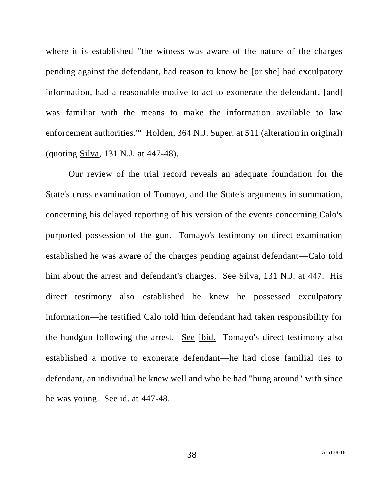where it is established "the witness was aware of the nature of the charges pending against the defendant, had reason to know he [or she] had exculpatory information, had a reasonable motive to act to exonerate the defendant, [and] was familiar with the means to make the information available to law enforcement authorities.'" Holden, 364 N.J. Super. at 511 (alteration in original) (quoting Silva, 131 N.J. at 447-48).

Our review of the trial record reveals an adequate foundation for the State's cross examination of Tomayo, and the State's arguments in summation, concerning his delayed reporting of his version of the events concerning Calo's purported possession of the gun. Tomayo's testimony on direct examination established he was aware of the charges pending against defendant—Calo told him about the arrest and defendant's charges. See Silva, 131 N.J. at 447. His direct testimony also established he knew he possessed exculpatory information—he testified Calo told him defendant had taken responsibility for the handgun following the arrest. See ibid. Tomayo's direct testimony also established a motive to exonerate defendant—he had close familial ties to defendant, an individual he knew well and who he had "hung around" with since he was young. See id. at 447-48.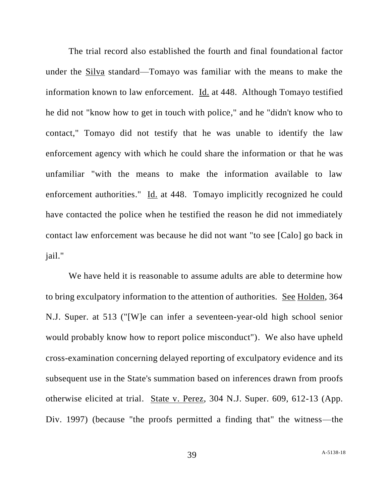The trial record also established the fourth and final foundational factor under the Silva standard—Tomayo was familiar with the means to make the information known to law enforcement. Id. at 448. Although Tomayo testified he did not "know how to get in touch with police," and he "didn't know who to contact," Tomayo did not testify that he was unable to identify the law enforcement agency with which he could share the information or that he was unfamiliar "with the means to make the information available to law enforcement authorities." Id. at 448. Tomayo implicitly recognized he could have contacted the police when he testified the reason he did not immediately contact law enforcement was because he did not want "to see [Calo] go back in jail."

We have held it is reasonable to assume adults are able to determine how to bring exculpatory information to the attention of authorities. See Holden, 364 N.J. Super. at 513 ("[W]e can infer a seventeen-year-old high school senior would probably know how to report police misconduct"). We also have upheld cross-examination concerning delayed reporting of exculpatory evidence and its subsequent use in the State's summation based on inferences drawn from proofs otherwise elicited at trial. State v. Perez, 304 N.J. Super. 609, 612-13 (App. Div. 1997) (because "the proofs permitted a finding that" the witness—the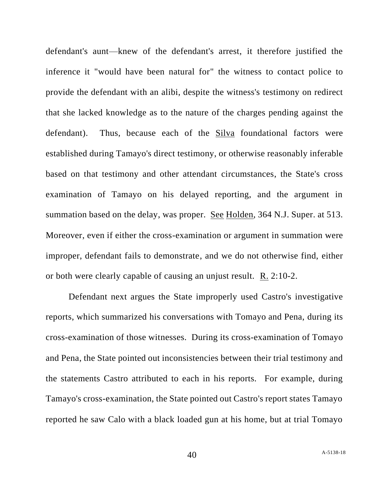defendant's aunt—knew of the defendant's arrest, it therefore justified the inference it "would have been natural for" the witness to contact police to provide the defendant with an alibi, despite the witness's testimony on redirect that she lacked knowledge as to the nature of the charges pending against the defendant). Thus, because each of the Silva foundational factors were established during Tamayo's direct testimony, or otherwise reasonably inferable based on that testimony and other attendant circumstances, the State's cross examination of Tamayo on his delayed reporting, and the argument in summation based on the delay, was proper. See Holden, 364 N.J. Super. at 513. Moreover, even if either the cross-examination or argument in summation were improper, defendant fails to demonstrate, and we do not otherwise find, either or both were clearly capable of causing an unjust result. R. 2:10-2.

Defendant next argues the State improperly used Castro's investigative reports, which summarized his conversations with Tomayo and Pena, during its cross-examination of those witnesses. During its cross-examination of Tomayo and Pena, the State pointed out inconsistencies between their trial testimony and the statements Castro attributed to each in his reports. For example, during Tamayo's cross-examination, the State pointed out Castro's report states Tamayo reported he saw Calo with a black loaded gun at his home, but at trial Tomayo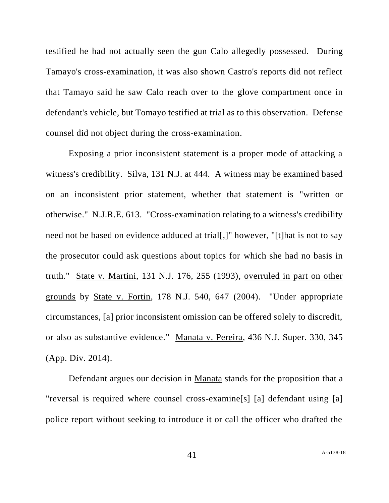testified he had not actually seen the gun Calo allegedly possessed. During Tamayo's cross-examination, it was also shown Castro's reports did not reflect that Tamayo said he saw Calo reach over to the glove compartment once in defendant's vehicle, but Tomayo testified at trial as to this observation. Defense counsel did not object during the cross-examination.

Exposing a prior inconsistent statement is a proper mode of attacking a witness's credibility. Silva, 131 N.J. at 444. A witness may be examined based on an inconsistent prior statement, whether that statement is "written or otherwise." N.J.R.E. 613. "Cross-examination relating to a witness's credibility need not be based on evidence adduced at trial[,]" however, "[t]hat is not to say the prosecutor could ask questions about topics for which she had no basis in truth." State v. Martini, 131 N.J. 176, 255 (1993), overruled in part on other grounds by State v. Fortin, 178 N.J. 540, 647 (2004). "Under appropriate circumstances, [a] prior inconsistent omission can be offered solely to discredit, or also as substantive evidence." Manata v. Pereira, 436 N.J. Super. 330, 345 (App. Div. 2014).

Defendant argues our decision in Manata stands for the proposition that a "reversal is required where counsel cross-examine[s] [a] defendant using [a] police report without seeking to introduce it or call the officer who drafted the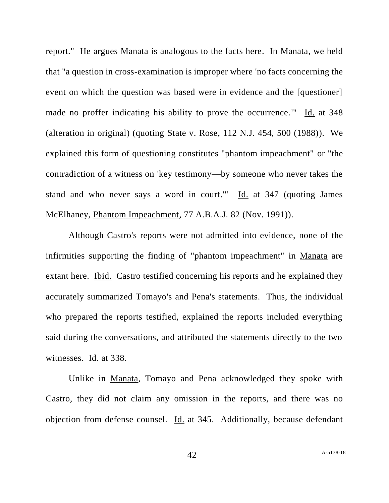report." He argues Manata is analogous to the facts here. In Manata, we held that "a question in cross-examination is improper where 'no facts concerning the event on which the question was based were in evidence and the [questioner] made no proffer indicating his ability to prove the occurrence.'" Id. at 348 (alteration in original) (quoting State v. Rose, 112 N.J. 454, 500 (1988)). We explained this form of questioning constitutes "phantom impeachment" or "the contradiction of a witness on 'key testimony—by someone who never takes the stand and who never says a word in court.'" Id. at 347 (quoting James McElhaney, Phantom Impeachment, 77 A.B.A.J. 82 (Nov. 1991)).

Although Castro's reports were not admitted into evidence, none of the infirmities supporting the finding of "phantom impeachment" in Manata are extant here. Ibid. Castro testified concerning his reports and he explained they accurately summarized Tomayo's and Pena's statements. Thus, the individual who prepared the reports testified, explained the reports included everything said during the conversations, and attributed the statements directly to the two witnesses. Id. at 338.

Unlike in Manata, Tomayo and Pena acknowledged they spoke with Castro, they did not claim any omission in the reports, and there was no objection from defense counsel. Id. at 345. Additionally, because defendant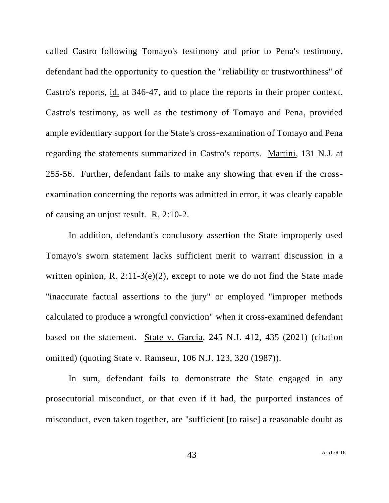called Castro following Tomayo's testimony and prior to Pena's testimony, defendant had the opportunity to question the "reliability or trustworthiness" of Castro's reports, id. at 346-47, and to place the reports in their proper context. Castro's testimony, as well as the testimony of Tomayo and Pena, provided ample evidentiary support for the State's cross-examination of Tomayo and Pena regarding the statements summarized in Castro's reports. Martini, 131 N.J. at 255-56. Further, defendant fails to make any showing that even if the crossexamination concerning the reports was admitted in error, it was clearly capable of causing an unjust result. R. 2:10-2.

In addition, defendant's conclusory assertion the State improperly used Tomayo's sworn statement lacks sufficient merit to warrant discussion in a written opinion, R.  $2:11-3(e)(2)$ , except to note we do not find the State made "inaccurate factual assertions to the jury" or employed "improper methods calculated to produce a wrongful conviction" when it cross-examined defendant based on the statement. State v. Garcia, 245 N.J. 412, 435 (2021) (citation omitted) (quoting State v. Ramseur, 106 N.J. 123, 320 (1987)).

In sum, defendant fails to demonstrate the State engaged in any prosecutorial misconduct, or that even if it had, the purported instances of misconduct, even taken together, are "sufficient [to raise] a reasonable doubt as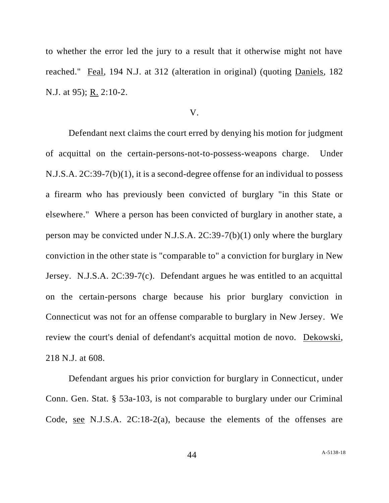to whether the error led the jury to a result that it otherwise might not have reached." Feal, 194 N.J. at 312 (alteration in original) (quoting Daniels, 182 N.J. at 95); R. 2:10-2.

#### V.

Defendant next claims the court erred by denying his motion for judgment of acquittal on the certain-persons-not-to-possess-weapons charge. Under N.J.S.A. 2C:39-7(b)(1), it is a second-degree offense for an individual to possess a firearm who has previously been convicted of burglary "in this State or elsewhere." Where a person has been convicted of burglary in another state, a person may be convicted under N.J.S.A. 2C:39-7(b)(1) only where the burglary conviction in the other state is "comparable to" a conviction for burglary in New Jersey. N.J.S.A. 2C:39-7(c). Defendant argues he was entitled to an acquittal on the certain-persons charge because his prior burglary conviction in Connecticut was not for an offense comparable to burglary in New Jersey. We review the court's denial of defendant's acquittal motion de novo. Dekowski, 218 N.J. at 608.

Defendant argues his prior conviction for burglary in Connecticut, under Conn. Gen. Stat. § 53a-103, is not comparable to burglary under our Criminal Code, see N.J.S.A. 2C:18-2(a), because the elements of the offenses are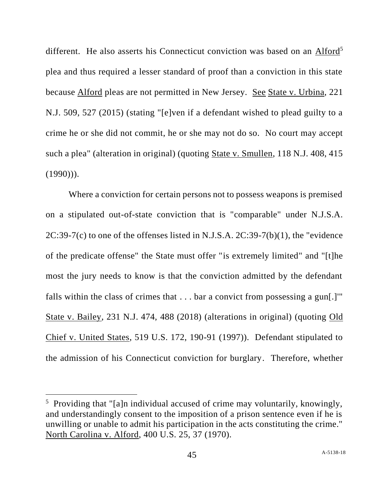different. He also asserts his Connecticut conviction was based on an Alford<sup>5</sup> plea and thus required a lesser standard of proof than a conviction in this state because Alford pleas are not permitted in New Jersey. See State v. Urbina, 221 N.J. 509, 527 (2015) (stating "[e]ven if a defendant wished to plead guilty to a crime he or she did not commit, he or she may not do so. No court may accept such a plea" (alteration in original) (quoting State v. Smullen, 118 N.J. 408, 415  $(1990))$ .

Where a conviction for certain persons not to possess weapons is premised on a stipulated out-of-state conviction that is "comparable" under N.J.S.A. 2C:39-7(c) to one of the offenses listed in N.J.S.A. 2C:39-7(b)(1), the "evidence of the predicate offense" the State must offer "is extremely limited" and "[t]he most the jury needs to know is that the conviction admitted by the defendant falls within the class of crimes that . . . bar a convict from possessing a gun[.]'" State v. Bailey, 231 N.J. 474, 488 (2018) (alterations in original) (quoting Old Chief v. United States, 519 U.S. 172, 190-91 (1997)). Defendant stipulated to the admission of his Connecticut conviction for burglary. Therefore, whether

<sup>&</sup>lt;sup>5</sup> Providing that "[a]n individual accused of crime may voluntarily, knowingly, and understandingly consent to the imposition of a prison sentence even if he is unwilling or unable to admit his participation in the acts constituting the crime." North Carolina v. Alford, 400 U.S. 25, 37 (1970).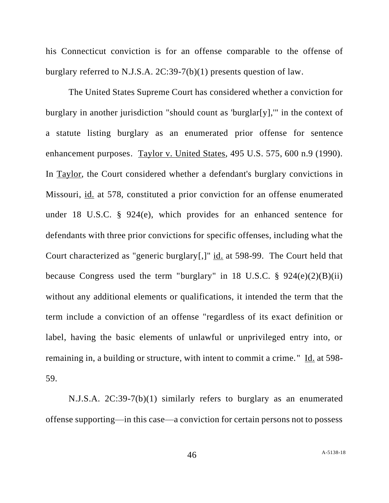his Connecticut conviction is for an offense comparable to the offense of burglary referred to N.J.S.A. 2C:39-7(b)(1) presents question of law.

The United States Supreme Court has considered whether a conviction for burglary in another jurisdiction "should count as 'burglar[y],'" in the context of a statute listing burglary as an enumerated prior offense for sentence enhancement purposes. Taylor v. United States, 495 U.S. 575, 600 n.9 (1990). In Taylor, the Court considered whether a defendant's burglary convictions in Missouri, id. at 578, constituted a prior conviction for an offense enumerated under 18 U.S.C. § 924(e), which provides for an enhanced sentence for defendants with three prior convictions for specific offenses, including what the Court characterized as "generic burglary[,]" id. at 598-99. The Court held that because Congress used the term "burglary" in 18 U.S.C.  $\S$  924(e)(2)(B)(ii) without any additional elements or qualifications, it intended the term that the term include a conviction of an offense "regardless of its exact definition or label, having the basic elements of unlawful or unprivileged entry into, or remaining in, a building or structure, with intent to commit a crime." Id. at 598-59.

N.J.S.A. 2C:39-7(b)(1) similarly refers to burglary as an enumerated offense supporting—in this case—a conviction for certain persons not to possess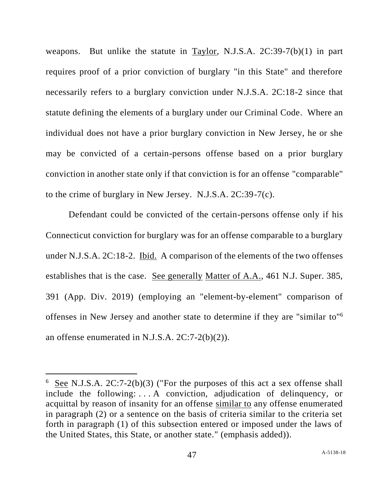weapons. But unlike the statute in Taylor, N.J.S.A. 2C:39-7(b)(1) in part requires proof of a prior conviction of burglary "in this State" and therefore necessarily refers to a burglary conviction under N.J.S.A. 2C:18-2 since that statute defining the elements of a burglary under our Criminal Code. Where an individual does not have a prior burglary conviction in New Jersey, he or she may be convicted of a certain-persons offense based on a prior burglary conviction in another state only if that conviction is for an offense "comparable" to the crime of burglary in New Jersey. N.J.S.A. 2C:39-7(c).

Defendant could be convicted of the certain-persons offense only if his Connecticut conviction for burglary was for an offense comparable to a burglary under N.J.S.A. 2C:18-2. Ibid. A comparison of the elements of the two offenses establishes that is the case. See generally Matter of A.A., 461 N.J. Super. 385, 391 (App. Div. 2019) (employing an "element-by-element" comparison of offenses in New Jersey and another state to determine if they are "similar to" 6 an offense enumerated in N.J.S.A. 2C:7-2(b)(2)).

 $6 \text{ See } N.J.S.A. 2C:7-2(b)(3)$  ("For the purposes of this act a sex offense shall include the following: . . . A conviction, adjudication of delinquency, or acquittal by reason of insanity for an offense similar to any offense enumerated in paragraph (2) or a sentence on the basis of criteria similar to the criteria set forth in paragraph (1) of this subsection entered or imposed under the laws of the United States, this State, or another state." (emphasis added)).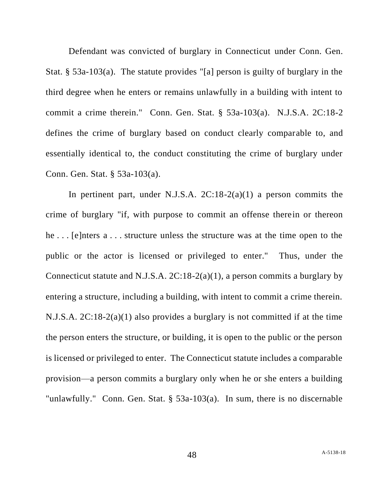Defendant was convicted of burglary in Connecticut under Conn. Gen. Stat. § 53a-103(a). The statute provides "[a] person is guilty of burglary in the third degree when he enters or remains unlawfully in a building with intent to commit a crime therein." Conn. Gen. Stat. § 53a-103(a). N.J.S.A. 2C:18-2 defines the crime of burglary based on conduct clearly comparable to, and essentially identical to, the conduct constituting the crime of burglary under Conn. Gen. Stat. § 53a-103(a).

In pertinent part, under N.J.S.A. 2C:18-2(a)(1) a person commits the crime of burglary "if, with purpose to commit an offense therein or thereon he . . . [e]nters a . . . structure unless the structure was at the time open to the public or the actor is licensed or privileged to enter." Thus, under the Connecticut statute and N.J.S.A. 2C:18-2(a)(1), a person commits a burglary by entering a structure, including a building, with intent to commit a crime therein. N.J.S.A. 2C:18-2(a)(1) also provides a burglary is not committed if at the time the person enters the structure, or building, it is open to the public or the person is licensed or privileged to enter. The Connecticut statute includes a comparable provision—a person commits a burglary only when he or she enters a building "unlawfully." Conn. Gen. Stat. § 53a-103(a). In sum, there is no discernable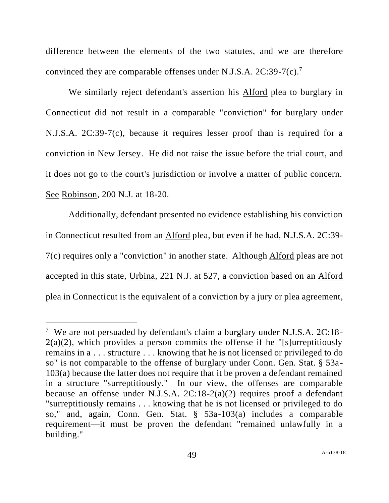difference between the elements of the two statutes, and we are therefore convinced they are comparable offenses under N.J.S.A.  $2C:39-7(c).$ <sup>7</sup>

We similarly reject defendant's assertion his Alford plea to burglary in Connecticut did not result in a comparable "conviction" for burglary under N.J.S.A. 2C:39-7(c), because it requires lesser proof than is required for a conviction in New Jersey. He did not raise the issue before the trial court, and it does not go to the court's jurisdiction or involve a matter of public concern. See Robinson, 200 N.J. at 18-20.

Additionally, defendant presented no evidence establishing his conviction in Connecticut resulted from an Alford plea, but even if he had, N.J.S.A. 2C:39- 7(c) requires only a "conviction" in another state. Although Alford pleas are not accepted in this state, Urbina, 221 N.J. at 527, a conviction based on an Alford plea in Connecticut is the equivalent of a conviction by a jury or plea agreement,

<sup>&</sup>lt;sup>7</sup> We are not persuaded by defendant's claim a burglary under N.J.S.A. 2C:18- $2(a)(2)$ , which provides a person commits the offense if he "[s]urreptitiously remains in a . . . structure . . . knowing that he is not licensed or privileged to do so" is not comparable to the offense of burglary under Conn. Gen. Stat. § 53a-103(a) because the latter does not require that it be proven a defendant remained in a structure "surreptitiously." In our view, the offenses are comparable because an offense under N.J.S.A. 2C:18-2(a)(2) requires proof a defendant "surreptitiously remains . . . knowing that he is not licensed or privileged to do so," and, again, Conn. Gen. Stat. § 53a-103(a) includes a comparable requirement—it must be proven the defendant "remained unlawfully in a building."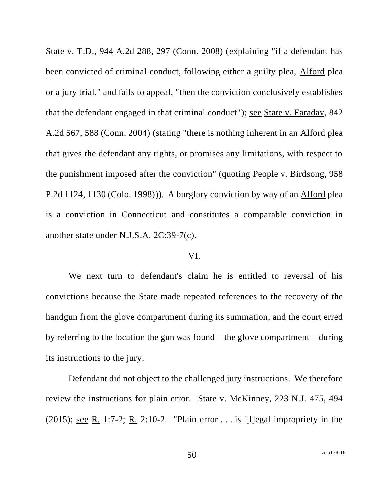State v. T.D., 944 A.2d 288, 297 (Conn. 2008) (explaining "if a defendant has been convicted of criminal conduct, following either a guilty plea, Alford plea or a jury trial," and fails to appeal, "then the conviction conclusively establishes that the defendant engaged in that criminal conduct"); see State v. Faraday, 842 A.2d 567, 588 (Conn. 2004) (stating "there is nothing inherent in an Alford plea that gives the defendant any rights, or promises any limitations, with respect to the punishment imposed after the conviction" (quoting People v. Birdsong, 958 P.2d 1124, 1130 (Colo. 1998))). A burglary conviction by way of an Alford plea is a conviction in Connecticut and constitutes a comparable conviction in another state under N.J.S.A. 2C:39-7(c).

## VI.

We next turn to defendant's claim he is entitled to reversal of his convictions because the State made repeated references to the recovery of the handgun from the glove compartment during its summation, and the court erred by referring to the location the gun was found—the glove compartment—during its instructions to the jury.

Defendant did not object to the challenged jury instructions. We therefore review the instructions for plain error. State v. McKinney, 223 N.J. 475, 494 (2015); see R. 1:7-2; R. 2:10-2. "Plain error  $\ldots$  is '[l]egal impropriety in the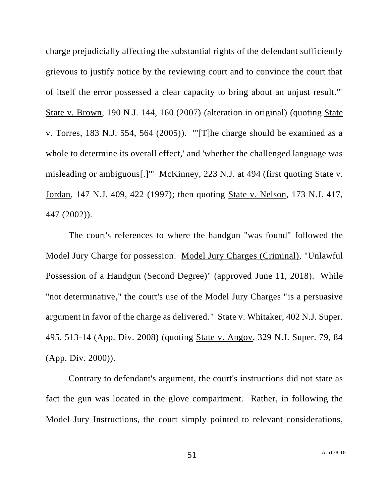charge prejudicially affecting the substantial rights of the defendant sufficiently grievous to justify notice by the reviewing court and to convince the court that of itself the error possessed a clear capacity to bring about an unjust result.'" State v. Brown, 190 N.J. 144, 160 (2007) (alteration in original) (quoting State v. Torres, 183 N.J. 554, 564 (2005)). "'[T]he charge should be examined as a whole to determine its overall effect,' and 'whether the challenged language was misleading or ambiguous[.]" McKinney, 223 N.J. at 494 (first quoting State v. Jordan, 147 N.J. 409, 422 (1997); then quoting State v. Nelson, 173 N.J. 417, 447 (2002)).

The court's references to where the handgun "was found" followed the Model Jury Charge for possession. Model Jury Charges (Criminal), "Unlawful Possession of a Handgun (Second Degree)" (approved June 11, 2018). While "not determinative," the court's use of the Model Jury Charges "is a persuasive argument in favor of the charge as delivered." State v. Whitaker, 402 N.J. Super. 495, 513-14 (App. Div. 2008) (quoting State v. Angoy, 329 N.J. Super. 79, 84 (App. Div. 2000)).

Contrary to defendant's argument, the court's instructions did not state as fact the gun was located in the glove compartment. Rather, in following the Model Jury Instructions, the court simply pointed to relevant considerations,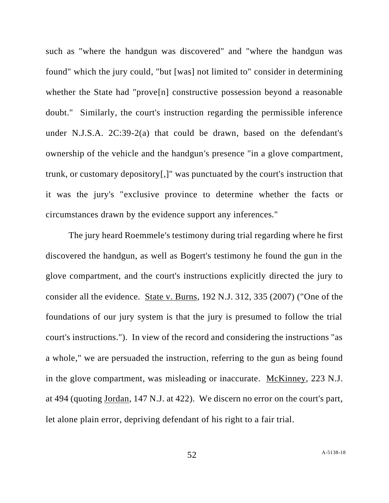such as "where the handgun was discovered" and "where the handgun was found" which the jury could, "but [was] not limited to" consider in determining whether the State had "prove<sup>[n]</sup> constructive possession beyond a reasonable doubt." Similarly, the court's instruction regarding the permissible inference under N.J.S.A. 2C:39-2(a) that could be drawn, based on the defendant's ownership of the vehicle and the handgun's presence "in a glove compartment, trunk, or customary depository[,]" was punctuated by the court's instruction that it was the jury's "exclusive province to determine whether the facts or circumstances drawn by the evidence support any inferences."

The jury heard Roemmele's testimony during trial regarding where he first discovered the handgun, as well as Bogert's testimony he found the gun in the glove compartment, and the court's instructions explicitly directed the jury to consider all the evidence. State v. Burns, 192 N.J. 312, 335 (2007) ("One of the foundations of our jury system is that the jury is presumed to follow the trial court's instructions."). In view of the record and considering the instructions "as a whole," we are persuaded the instruction, referring to the gun as being found in the glove compartment, was misleading or inaccurate. McKinney, 223 N.J. at 494 (quoting Jordan, 147 N.J. at 422). We discern no error on the court's part, let alone plain error, depriving defendant of his right to a fair trial.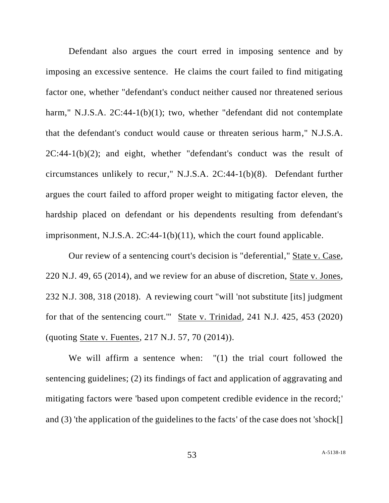Defendant also argues the court erred in imposing sentence and by imposing an excessive sentence. He claims the court failed to find mitigating factor one, whether "defendant's conduct neither caused nor threatened serious harm," N.J.S.A. 2C:44-1(b)(1); two, whether "defendant did not contemplate that the defendant's conduct would cause or threaten serious harm," N.J.S.A.  $2C:44-1(b)(2)$ ; and eight, whether "defendant's conduct was the result of circumstances unlikely to recur," N.J.S.A. 2C:44-1(b)(8). Defendant further argues the court failed to afford proper weight to mitigating factor eleven, the hardship placed on defendant or his dependents resulting from defendant's imprisonment, N.J.S.A. 2C:44-1(b)(11), which the court found applicable.

Our review of a sentencing court's decision is "deferential," State v. Case, 220 N.J. 49, 65 (2014), and we review for an abuse of discretion, State v. Jones, 232 N.J. 308, 318 (2018). A reviewing court "will 'not substitute [its] judgment for that of the sentencing court.'" State v. Trinidad, 241 N.J. 425, 453 (2020) (quoting State v. Fuentes, 217 N.J. 57, 70 (2014)).

We will affirm a sentence when: "(1) the trial court followed the sentencing guidelines; (2) its findings of fact and application of aggravating and mitigating factors were 'based upon competent credible evidence in the record;' and (3) 'the application of the guidelines to the facts' of the case does not 'shock[]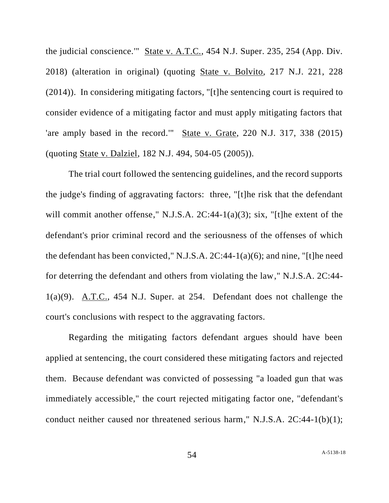the judicial conscience.'" State v. A.T.C., 454 N.J. Super. 235, 254 (App. Div. 2018) (alteration in original) (quoting State v. Bolvito, 217 N.J. 221, 228 (2014)). In considering mitigating factors, "[t]he sentencing court is required to consider evidence of a mitigating factor and must apply mitigating factors that 'are amply based in the record.'" State v. Grate, 220 N.J. 317, 338 (2015) (quoting State v. Dalziel, 182 N.J. 494, 504-05 (2005)).

The trial court followed the sentencing guidelines, and the record supports the judge's finding of aggravating factors: three, "[t]he risk that the defendant will commit another offense," N.J.S.A. 2C:44-1(a)(3); six, "[t]he extent of the defendant's prior criminal record and the seriousness of the offenses of which the defendant has been convicted," N.J.S.A. 2C:44-1(a)(6); and nine, "[t]he need for deterring the defendant and others from violating the law," N.J.S.A. 2C:44- 1(a)(9). A.T.C., 454 N.J. Super. at 254. Defendant does not challenge the court's conclusions with respect to the aggravating factors.

Regarding the mitigating factors defendant argues should have been applied at sentencing, the court considered these mitigating factors and rejected them. Because defendant was convicted of possessing "a loaded gun that was immediately accessible," the court rejected mitigating factor one, "defendant's conduct neither caused nor threatened serious harm," N.J.S.A. 2C:44-1(b)(1);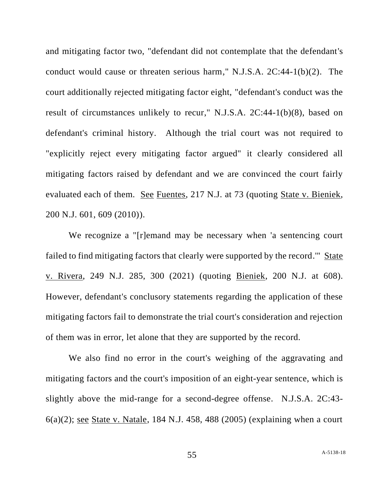and mitigating factor two, "defendant did not contemplate that the defendant's conduct would cause or threaten serious harm," N.J.S.A. 2C:44-1(b)(2). The court additionally rejected mitigating factor eight, "defendant's conduct was the result of circumstances unlikely to recur," N.J.S.A. 2C:44-1(b)(8), based on defendant's criminal history. Although the trial court was not required to "explicitly reject every mitigating factor argued" it clearly considered all mitigating factors raised by defendant and we are convinced the court fairly evaluated each of them. See Fuentes, 217 N.J. at 73 (quoting State v. Bieniek, 200 N.J. 601, 609 (2010)).

We recognize a "[r]emand may be necessary when 'a sentencing court failed to find mitigating factors that clearly were supported by the record.'" State v. Rivera, 249 N.J. 285, 300 (2021) (quoting Bieniek, 200 N.J. at 608). However, defendant's conclusory statements regarding the application of these mitigating factors fail to demonstrate the trial court's consideration and rejection of them was in error, let alone that they are supported by the record.

We also find no error in the court's weighing of the aggravating and mitigating factors and the court's imposition of an eight-year sentence, which is slightly above the mid-range for a second-degree offense. N.J.S.A. 2C:43- 6(a)(2); see State v. Natale, 184 N.J. 458, 488 (2005) (explaining when a court